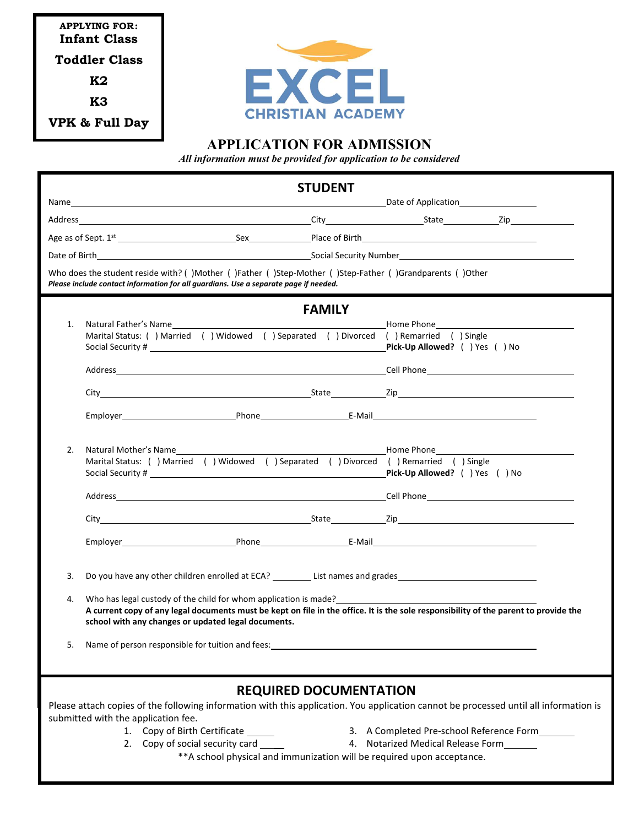**APPLYING FOR: Infant Class Toddler Class K2 K3 VPK & Full Day**



## **APPLICATION FOR ADMISSION**

*All information must be provided for application to be considered*

|                                                                                                                                       | <b>STUDENT</b>                                                                                                                                                                                                                 |                                   |  |  |  |  |
|---------------------------------------------------------------------------------------------------------------------------------------|--------------------------------------------------------------------------------------------------------------------------------------------------------------------------------------------------------------------------------|-----------------------------------|--|--|--|--|
|                                                                                                                                       |                                                                                                                                                                                                                                |                                   |  |  |  |  |
|                                                                                                                                       |                                                                                                                                                                                                                                |                                   |  |  |  |  |
|                                                                                                                                       | Age as of Sept. 1st the contract of Sex and Place of Birth Place of Birth                                                                                                                                                      |                                   |  |  |  |  |
|                                                                                                                                       |                                                                                                                                                                                                                                |                                   |  |  |  |  |
|                                                                                                                                       | Who does the student reside with? ()Mother ()Father ()Step-Mother ()Step-Father ()Grandparents ()Other<br>Please include contact information for all guardians. Use a separate page if needed.                                 |                                   |  |  |  |  |
|                                                                                                                                       | <b>FAMILY</b>                                                                                                                                                                                                                  |                                   |  |  |  |  |
| 1.                                                                                                                                    | Natural Father's Name example and the set of the set of the set of the set of the set of the set of the set of the set of the set of the set of the set of the set of the set of the set of the set of the set of the set of t |                                   |  |  |  |  |
|                                                                                                                                       | Marital Status: () Married () Widowed () Separated () Divorced () Remarried () Single                                                                                                                                          | Pick-Up Allowed? () Yes () No     |  |  |  |  |
|                                                                                                                                       |                                                                                                                                                                                                                                |                                   |  |  |  |  |
|                                                                                                                                       |                                                                                                                                                                                                                                |                                   |  |  |  |  |
|                                                                                                                                       | City City State Zip                                                                                                                                                                                                            |                                   |  |  |  |  |
|                                                                                                                                       |                                                                                                                                                                                                                                |                                   |  |  |  |  |
|                                                                                                                                       |                                                                                                                                                                                                                                |                                   |  |  |  |  |
| 2.                                                                                                                                    | Natural Mother's Name                                                                                                                                                                                                          | Home Phone <b>Figure 1996</b>     |  |  |  |  |
|                                                                                                                                       | Marital Status: () Married () Widowed () Separated () Divorced () Remarried () Single                                                                                                                                          |                                   |  |  |  |  |
|                                                                                                                                       |                                                                                                                                                                                                                                | Pick-Up Allowed? () Yes () No     |  |  |  |  |
|                                                                                                                                       |                                                                                                                                                                                                                                |                                   |  |  |  |  |
|                                                                                                                                       |                                                                                                                                                                                                                                |                                   |  |  |  |  |
|                                                                                                                                       |                                                                                                                                                                                                                                |                                   |  |  |  |  |
|                                                                                                                                       |                                                                                                                                                                                                                                |                                   |  |  |  |  |
| 3.                                                                                                                                    |                                                                                                                                                                                                                                |                                   |  |  |  |  |
|                                                                                                                                       | Do you have any other children enrolled at ECA? List names and grades                                                                                                                                                          |                                   |  |  |  |  |
| 4.                                                                                                                                    | Who has legal custody of the child for whom application is made?<br><br>A current copy of any legal documents must be kept on file in the office. It is the sole responsibility of the parent to provide the                   |                                   |  |  |  |  |
|                                                                                                                                       | school with any changes or updated legal documents.                                                                                                                                                                            |                                   |  |  |  |  |
| 5.                                                                                                                                    | Name of person responsible for tuition and fees:                                                                                                                                                                               |                                   |  |  |  |  |
|                                                                                                                                       |                                                                                                                                                                                                                                |                                   |  |  |  |  |
|                                                                                                                                       |                                                                                                                                                                                                                                |                                   |  |  |  |  |
| <b>REQUIRED DOCUMENTATION</b>                                                                                                         |                                                                                                                                                                                                                                |                                   |  |  |  |  |
| Please attach copies of the following information with this application. You application cannot be processed until all information is |                                                                                                                                                                                                                                |                                   |  |  |  |  |
|                                                                                                                                       | submitted with the application fee.<br>Copy of Birth Certificate<br>3. A Completed Pre-school Reference Form<br>1.                                                                                                             |                                   |  |  |  |  |
|                                                                                                                                       | Copy of social security card<br>2.                                                                                                                                                                                             | 4. Notarized Medical Release Form |  |  |  |  |

\*\*A school physical and immunization will be required upon acceptance.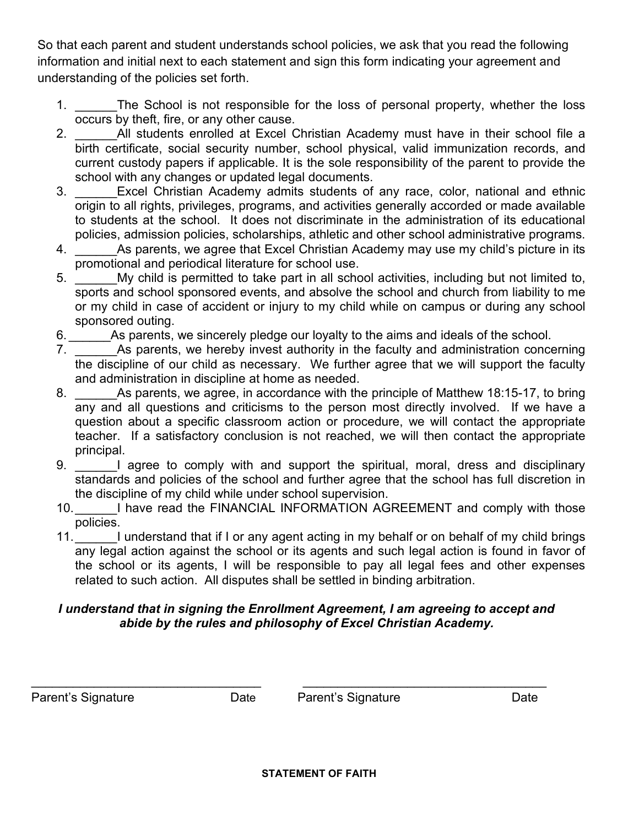So that each parent and student understands school policies, we ask that you read the following information and initial next to each statement and sign this form indicating your agreement and understanding of the policies set forth.

- 1. The School is not responsible for the loss of personal property, whether the loss occurs by theft, fire, or any other cause.
- 2. All students enrolled at Excel Christian Academy must have in their school file a birth certificate, social security number, school physical, valid immunization records, and current custody papers if applicable. It is the sole responsibility of the parent to provide the school with any changes or updated legal documents.
- 3. Excel Christian Academy admits students of any race, color, national and ethnic origin to all rights, privileges, programs, and activities generally accorded or made available to students at the school. It does not discriminate in the administration of its educational policies, admission policies, scholarships, athletic and other school administrative programs.
- 4. As parents, we agree that Excel Christian Academy may use my child's picture in its promotional and periodical literature for school use.
- 5. \_\_\_\_\_\_My child is permitted to take part in all school activities, including but not limited to, sports and school sponsored events, and absolve the school and church from liability to me or my child in case of accident or injury to my child while on campus or during any school sponsored outing.
- 6. As parents, we sincerely pledge our loyalty to the aims and ideals of the school.
- 7. As parents, we hereby invest authority in the faculty and administration concerning the discipline of our child as necessary. We further agree that we will support the faculty and administration in discipline at home as needed.
- 8. As parents, we agree, in accordance with the principle of Matthew 18:15-17, to bring any and all questions and criticisms to the person most directly involved. If we have a question about a specific classroom action or procedure, we will contact the appropriate teacher. If a satisfactory conclusion is not reached, we will then contact the appropriate principal.
- 9. I agree to comply with and support the spiritual, moral, dress and disciplinary standards and policies of the school and further agree that the school has full discretion in the discipline of my child while under school supervision.
- 10. I have read the FINANCIAL INFORMATION AGREEMENT and comply with those policies.
- 11. I understand that if I or any agent acting in my behalf or on behalf of my child brings any legal action against the school or its agents and such legal action is found in favor of the school or its agents, I will be responsible to pay all legal fees and other expenses related to such action. All disputes shall be settled in binding arbitration.

## *I understand that in signing the Enrollment Agreement, I am agreeing to accept and abide by the rules and philosophy of Excel Christian Academy.*

\_\_\_\_\_\_\_\_\_\_\_\_\_\_\_\_\_\_\_\_\_\_\_\_\_\_\_\_\_\_\_\_\_\_\_\_\_\_\_\_\_\_\_\_\_\_\_\_\_\_\_\_\_\_\_\_\_\_\_\_\_\_\_\_\_\_\_\_ Parent's Signature **Date** Parent's Signature Date Date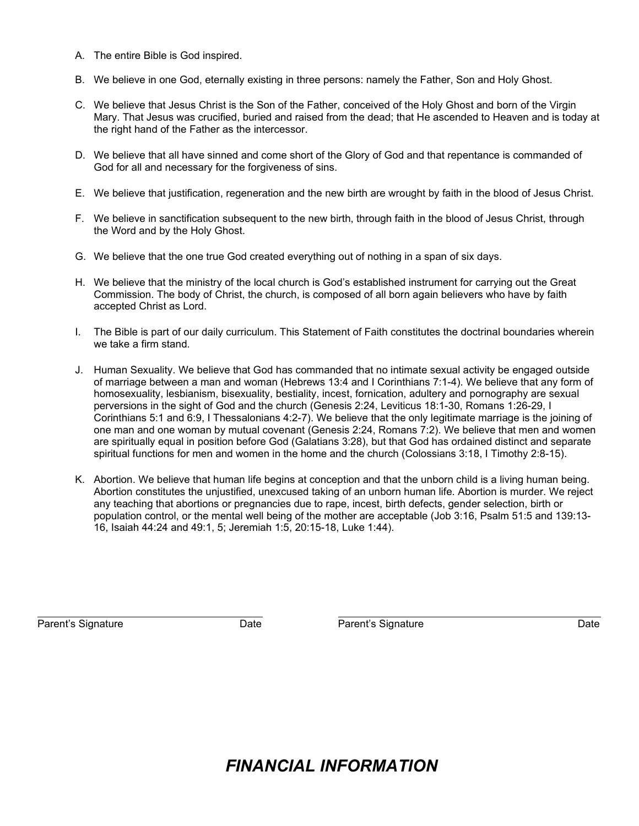- A. The entire Bible is God inspired.
- B. We believe in one God, eternally existing in three persons: namely the Father, Son and Holy Ghost.
- C. We believe that Jesus Christ is the Son of the Father, conceived of the Holy Ghost and born of the Virgin Mary. That Jesus was crucified, buried and raised from the dead; that He ascended to Heaven and is today at the right hand of the Father as the intercessor.
- D. We believe that all have sinned and come short of the Glory of God and that repentance is commanded of God for all and necessary for the forgiveness of sins.
- E. We believe that justification, regeneration and the new birth are wrought by faith in the blood of Jesus Christ.
- F. We believe in sanctification subsequent to the new birth, through faith in the blood of Jesus Christ, through the Word and by the Holy Ghost.
- G. We believe that the one true God created everything out of nothing in a span of six days.
- H. We believe that the ministry of the local church is God's established instrument for carrying out the Great Commission. The body of Christ, the church, is composed of all born again believers who have by faith accepted Christ as Lord.
- I. The Bible is part of our daily curriculum. This Statement of Faith constitutes the doctrinal boundaries wherein we take a firm stand.
- J. Human Sexuality. We believe that God has commanded that no intimate sexual activity be engaged outside of marriage between a man and woman (Hebrews 13:4 and I Corinthians 7:1-4). We believe that any form of homosexuality, lesbianism, bisexuality, bestiality, incest, fornication, adultery and pornography are sexual perversions in the sight of God and the church (Genesis 2:24, Leviticus 18:1-30, Romans 1:26-29, I Corinthians 5:1 and 6:9, I Thessalonians 4:2-7). We believe that the only legitimate marriage is the joining of one man and one woman by mutual covenant (Genesis 2:24, Romans 7:2). We believe that men and women are spiritually equal in position before God (Galatians 3:28), but that God has ordained distinct and separate spiritual functions for men and women in the home and the church (Colossians 3:18, I Timothy 2:8-15).
- K. Abortion. We believe that human life begins at conception and that the unborn child is a living human being. Abortion constitutes the unjustified, unexcused taking of an unborn human life. Abortion is murder. We reject any teaching that abortions or pregnancies due to rape, incest, birth defects, gender selection, birth or population control, or the mental well being of the mother are acceptable (Job 3:16, Psalm 51:5 and 139:13- 16, Isaiah 44:24 and 49:1, 5; Jeremiah 1:5, 20:15-18, Luke 1:44).

Parent's Signature The Control of Date Charles Parent's Signature Parent's Signature Date

# *FINANCIAL INFORMATION*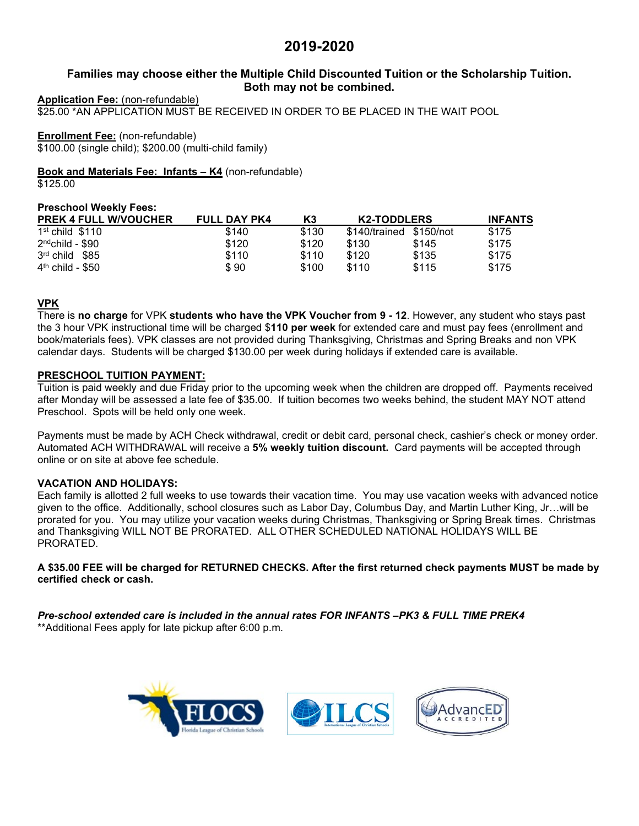# **2019-2020**

## **Families may choose either the Multiple Child Discounted Tuition or the Scholarship Tuition. Both may not be combined.**

### **Application Fee:** (non-refundable)

\$25.00 \*AN APPLICATION MUST BE RECEIVED IN ORDER TO BE PLACED IN THE WAIT POOL

## **Enrollment Fee:** (non-refundable)

\$100.00 (single child); \$200.00 (multi-child family)

**Book and Materials Fee: Infants – K4** (non-refundable)

\$125.00

## **Preschool Weekly Fees:**

| <b>PREK 4 FULL W/VOUCHER</b> | <b>FULL DAY PK4</b> | K3    | <b>K2-TODDLERS</b>      |       | <b>INFANTS</b> |
|------------------------------|---------------------|-------|-------------------------|-------|----------------|
| $1st$ child $$110$           | \$140               | \$130 | \$140/trained \$150/not |       | \$175          |
| $2^{\text{nd}}$ child - \$90 | \$120               | \$120 | \$130                   | \$145 | \$175          |
| 3rd child \$85               | \$110               | \$110 | \$120                   | \$135 | \$175          |
| $4th$ child - \$50           | \$90                | \$100 | \$110                   | \$115 | \$175          |

## **VPK**

There is **no charge** for VPK **students who have the VPK Voucher from 9 - 12**. However, any student who stays past the 3 hour VPK instructional time will be charged \$**110 per week** for extended care and must pay fees (enrollment and book/materials fees). VPK classes are not provided during Thanksgiving, Christmas and Spring Breaks and non VPK calendar days. Students will be charged \$130.00 per week during holidays if extended care is available.

## **PRESCHOOL TUITION PAYMENT:**

Tuition is paid weekly and due Friday prior to the upcoming week when the children are dropped off. Payments received after Monday will be assessed a late fee of \$35.00. If tuition becomes two weeks behind, the student MAY NOT attend Preschool. Spots will be held only one week.

Payments must be made by ACH Check withdrawal, credit or debit card, personal check, cashier's check or money order. Automated ACH WITHDRAWAL will receive a **5% weekly tuition discount.** Card payments will be accepted through online or on site at above fee schedule.

## **VACATION AND HOLIDAYS:**

Each family is allotted 2 full weeks to use towards their vacation time. You may use vacation weeks with advanced notice given to the office. Additionally, school closures such as Labor Day, Columbus Day, and Martin Luther King, Jr…will be prorated for you. You may utilize your vacation weeks during Christmas, Thanksgiving or Spring Break times. Christmas and Thanksgiving WILL NOT BE PRORATED. ALL OTHER SCHEDULED NATIONAL HOLIDAYS WILL BE PRORATED.

**A \$35.00 FEE will be charged for RETURNED CHECKS. After the first returned check payments MUST be made by certified check or cash.** 

*Pre-school extended care is included in the annual rates FOR INFANTS –PK3 & FULL TIME PREK4* \*\*Additional Fees apply for late pickup after 6:00 p.m.

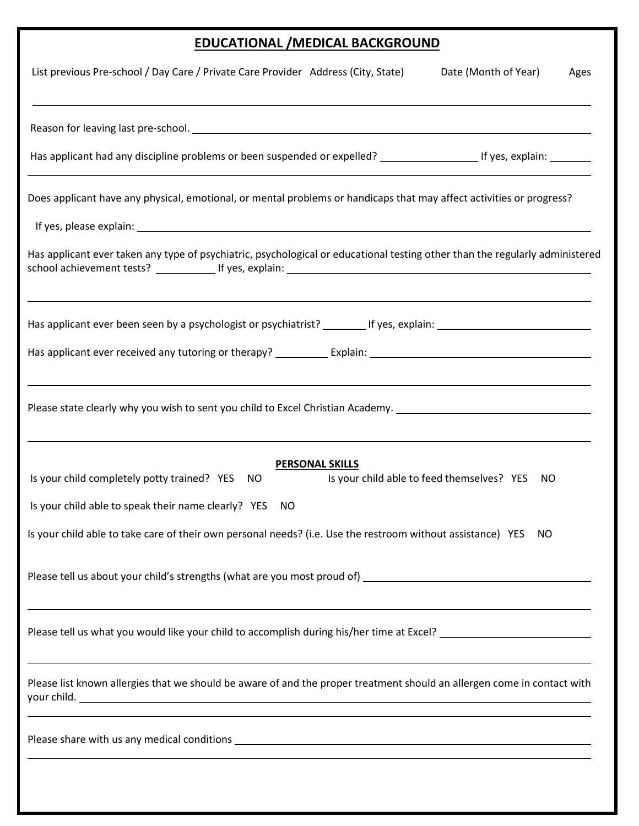# **EDUCATIONAL /MEDICAL BACKGROUND**

| List previous Pre-school / Day Care / Private Care Provider Address (City, State)<br>Date (Month of Year)<br>Ages                                                                                           |
|-------------------------------------------------------------------------------------------------------------------------------------------------------------------------------------------------------------|
|                                                                                                                                                                                                             |
| Has applicant had any discipline problems or been suspended or expelled? __________________________ If yes, explain: __________                                                                             |
| Does applicant have any physical, emotional, or mental problems or handicaps that may affect activities or progress?                                                                                        |
|                                                                                                                                                                                                             |
| Has applicant ever taken any type of psychiatric, psychological or educational testing other than the regularly administered                                                                                |
|                                                                                                                                                                                                             |
|                                                                                                                                                                                                             |
| Please state clearly why you wish to sent you child to Excel Christian Academy. ______________________________                                                                                              |
| <b>PERSONAL SKILLS</b><br>Is your child completely potty trained? YES<br>Is your child able to feed themselves? YES<br>NO<br>NO                                                                             |
| Is your child able to speak their name clearly? YES<br>NO.                                                                                                                                                  |
| Is your child able to take care of their own personal needs? (i.e. Use the restroom without assistance) YES<br>NO.                                                                                          |
|                                                                                                                                                                                                             |
|                                                                                                                                                                                                             |
| ,我们也不会有什么。""我们的人,我们也不会有什么?""我们的人,我们也不会有什么?""我们的人,我们也不会有什么?""我们的人,我们也不会有什么?""我们的人<br>Please list known allergies that we should be aware of and the proper treatment should an allergen come in contact with |
|                                                                                                                                                                                                             |
|                                                                                                                                                                                                             |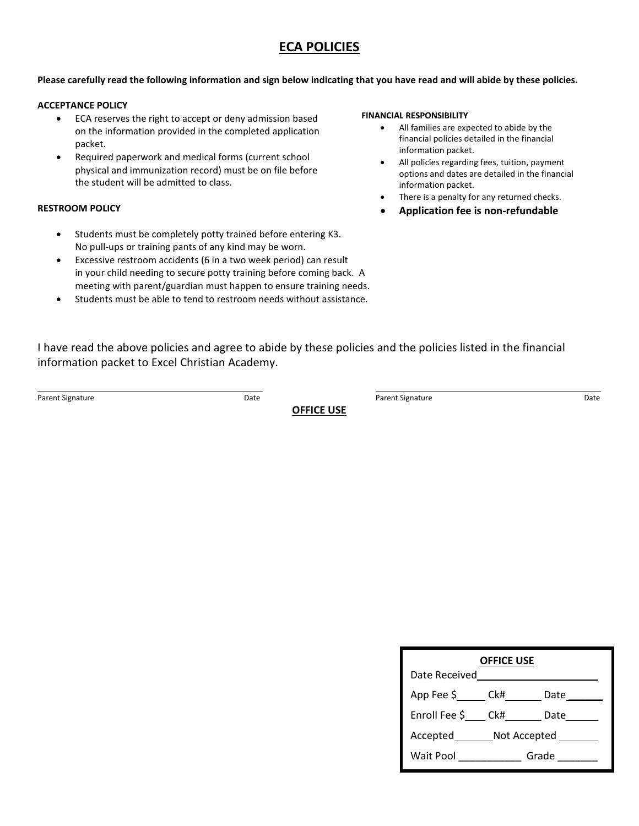# **ECA POLICIES**

### **Please carefully read the following information and sign below indicating that you have read and will abide by these policies.**

### **ACCEPTANCE POLICY**

- ECA reserves the right to accept or deny admission based on the information provided in the completed application packet.
- Required paperwork and medical forms (current school physical and immunization record) must be on file before the student will be admitted to class.

### **RESTROOM POLICY**

- Students must be completely potty trained before entering K3. No pull-ups or training pants of any kind may be worn.
- Excessive restroom accidents (6 in a two week period) can result in your child needing to secure potty training before coming back. A meeting with parent/guardian must happen to ensure training needs.
- Students must be able to tend to restroom needs without assistance.

#### **FINANCIAL RESPONSIBILITY**

- All families are expected to abide by the financial policies detailed in the financial information packet.
- All policies regarding fees, tuition, payment options and dates are detailed in the financial information packet.
- There is a penalty for any returned checks.
- **Application fee is non-refundable**

I have read the above policies and agree to abide by these policies and the policies listed in the financial information packet to Excel Christian Academy.

**OFFICE USE**

Parent Signature **Parent Signature** Date **Constant Date Constant Only 19th** Parent Signature **Parent Signature** Date

| <b>OFFICE USE</b>            |  |              |  |  |  |
|------------------------------|--|--------------|--|--|--|
| Date Received                |  |              |  |  |  |
| App Fee \$_______ Ck#_______ |  | Date         |  |  |  |
| Enroll Fee \$ Ck#            |  | Date         |  |  |  |
| Accepted Not Accepted        |  |              |  |  |  |
| Wait Pool _____________      |  | Grade $\_\_$ |  |  |  |